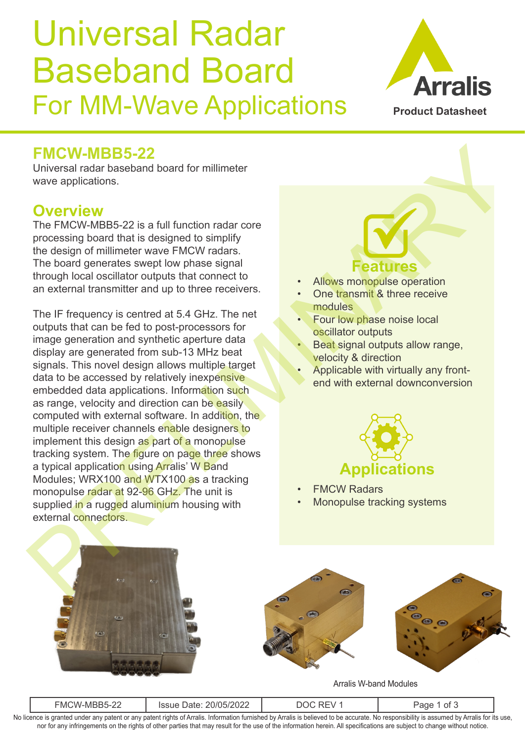## Universal Radar Baseband Board For MM-Wave Applications



### **FMCW-MBB5-22**

Universal radar baseband board for millimeter wave applications.

#### **Overview**

The FMCW-MBB5-22 is a full function radar core processing board that is designed to simplify the design of millimeter wave FMCW radars. The board generates swept low phase signal through local oscillator outputs that connect to an external transmitter and up to three receivers.

The IF frequency is centred at 5.4 GHz. The net outputs that can be fed to post-processors for image generation and synthetic aperture data display are generated from sub-13 MHz beat signals. This novel design allows multiple target data to be accessed by relatively inexpensive embedded data applications. Information such as range, velocity and direction can be easily computed with external software. In addition, the multiple receiver channels enable designers to implement this design as part of a monopulse tracking system. The figure on page three shows a typical application using Arralis' W Band Modules; WRX100 and WTX100 as a tracking monopulse radar at 92-96 GHz. The unit is supplied in a rugged aluminium housing with external connectors. FMCW-MBB5-22<br>
university and baseband board for millimeter<br>
The MaxWeBS-22 is a full function radar core<br>
The board generates were privary matrix that is designed to simplify<br>
the design of millimeter wave FMCW radars.<br>
Th

## **Features**

- Allows monopulse operation
- One transmit & three receive modules
- Four low phase noise local oscillator outputs
- Beat signal outputs allow range, velocity & direction
- Applicable with virtually any frontend with external downconversion



- **FMCW Radars**
- Monopulse tracking systems



Arralis W-band Modules

| oc<br>- N/I (<br>WV.<br>-1171<br>$\sim$ | - 1111<br>™∠U∠∠ |  | ΩŤ |  |
|-----------------------------------------|-----------------|--|----|--|
| .<br>.                                  |                 |  |    |  |

No licence is granted under any patent or any patent rights of Arralis. Information furnished by Arralis is believed to be accurate. No responsibility is assumed by Arralis for its use, nor for any infringements on the rights of other parties that may result for the use of the information herein. All specifications are subject to change without notice.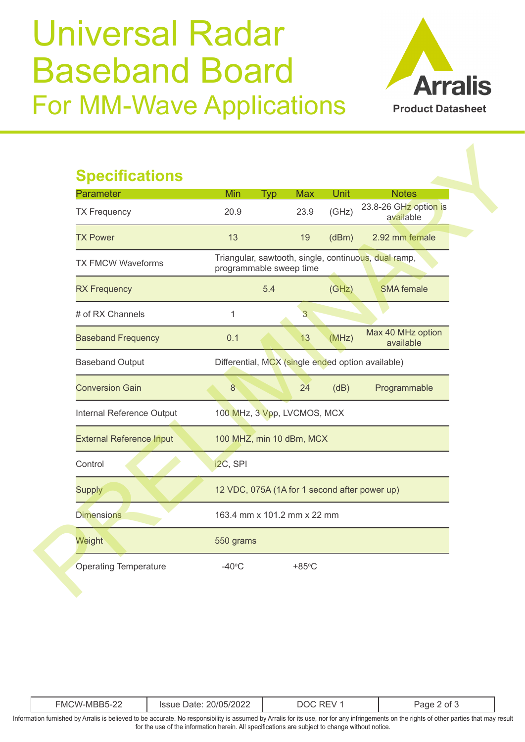# Universal Radar Baseband Board For MM-Wave Applications



### **Specifications**

| <b>Parameter</b>                | <b>Min</b>                                        | <b>Typ</b> | <b>Max</b>      | Unit  | <b>Notes</b>                                         |
|---------------------------------|---------------------------------------------------|------------|-----------------|-------|------------------------------------------------------|
| <b>TX Frequency</b>             | 20.9                                              |            | 23.9            | (GHz) | 23.8-26 GHz option is<br>available                   |
| <b>TX Power</b>                 | 13                                                |            | 19              | (dBm) | 2.92 mm female                                       |
| <b>TX FMCW Waveforms</b>        | programmable sweep time                           |            |                 |       | Triangular, sawtooth, single, continuous, dual ramp, |
| <b>RX Frequency</b>             |                                                   | 5.4        |                 | (GHz) | <b>SMA</b> female                                    |
| # of RX Channels                | $\mathbf 1$                                       |            | 3               |       |                                                      |
| <b>Baseband Frequency</b>       | 0.1                                               |            | 13              | (MHz) | Max 40 MHz option<br>available                       |
| <b>Baseband Output</b>          | Differential, MCX (single ended option available) |            |                 |       |                                                      |
| <b>Conversion Gain</b>          | 8                                                 |            | 24              | (dB)  | Programmable                                         |
| Internal Reference Output       | 100 MHz, 3 Vpp, LVCMOS, MCX                       |            |                 |       |                                                      |
| <b>External Reference Input</b> | 100 MHZ, min 10 dBm, MCX                          |            |                 |       |                                                      |
| Control                         | i2C, SPI                                          |            |                 |       |                                                      |
| <b>Supply</b>                   | 12 VDC, 075A (1A for 1 second after power up)     |            |                 |       |                                                      |
| <b>Dimensions</b>               | 163.4 mm x 101.2 mm x 22 mm                       |            |                 |       |                                                      |
| Weight                          | 550 grams                                         |            |                 |       |                                                      |
| <b>Operating Temperature</b>    | $-40^{\circ}$ C                                   |            | $+85^{\circ}$ C |       |                                                      |

| $\cap$<br>20/05/2022<br>EMCW-MBB5-∠∠<br>ssue<br>ור<br>'ane<br><b>Dalt</b><br>the contract of the contract of the contract of the contract of the contract of the contract of the contract of |  |
|----------------------------------------------------------------------------------------------------------------------------------------------------------------------------------------------|--|
|----------------------------------------------------------------------------------------------------------------------------------------------------------------------------------------------|--|

Information furnished by Arralis is believed to be accurate. No responsibility is assumed by Arralis for its use, nor for any infringements on the rights of other parties that may result for the use of the information herein. All specifications are subject to change without notice.